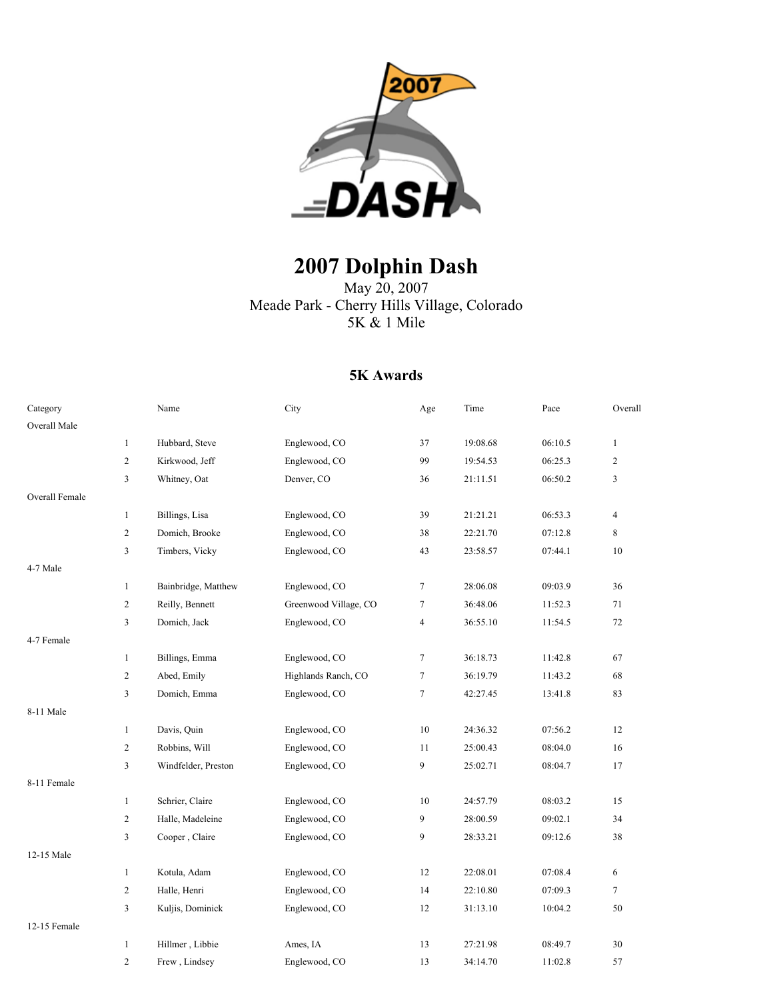

# **2007 Dolphin Dash**

May 20, 2007 Meade Park - Cherry Hills Village, Colorado 5K & 1 Mile

#### **5K Awards**

| Category       |                | Name                | City                  | Age    | Time     | Pace    | Overall        |
|----------------|----------------|---------------------|-----------------------|--------|----------|---------|----------------|
| Overall Male   |                |                     |                       |        |          |         |                |
|                | $\mathbf{1}$   | Hubbard, Steve      | Englewood, CO         | 37     | 19:08.68 | 06:10.5 | $\mathbf{1}$   |
|                | $\overline{c}$ | Kirkwood, Jeff      | Englewood, CO         | 99     | 19:54.53 | 06:25.3 | $\overline{c}$ |
|                | 3              | Whitney, Oat        | Denver, CO            | 36     | 21:11.51 | 06:50.2 | $\overline{3}$ |
| Overall Female |                |                     |                       |        |          |         |                |
|                | $\mathbf{1}$   | Billings, Lisa      | Englewood, CO         | 39     | 21:21.21 | 06:53.3 | $\overline{4}$ |
|                | $\overline{c}$ | Domich, Brooke      | Englewood, CO         | 38     | 22:21.70 | 07:12.8 | 8              |
|                | 3              | Timbers, Vicky      | Englewood, CO         | 43     | 23:58.57 | 07:44.1 | 10             |
| 4-7 Male       |                |                     |                       |        |          |         |                |
|                | $\mathbf{1}$   | Bainbridge, Matthew | Englewood, CO         | $\tau$ | 28:06.08 | 09:03.9 | 36             |
|                | $\overline{c}$ | Reilly, Bennett     | Greenwood Village, CO | 7      | 36:48.06 | 11:52.3 | 71             |
|                | 3              | Domich, Jack        | Englewood, CO         | 4      | 36:55.10 | 11:54.5 | 72             |
| 4-7 Female     |                |                     |                       |        |          |         |                |
|                | $\mathbf{1}$   | Billings, Emma      | Englewood, CO         | $\tau$ | 36:18.73 | 11:42.8 | 67             |
|                | $\overline{c}$ | Abed, Emily         | Highlands Ranch, CO   | $\tau$ | 36:19.79 | 11:43.2 | 68             |
|                | 3              | Domich, Emma        | Englewood, CO         | 7      | 42:27.45 | 13:41.8 | 83             |
| 8-11 Male      |                |                     |                       |        |          |         |                |
|                | $\mathbf{1}$   | Davis, Quin         | Englewood, CO         | 10     | 24:36.32 | 07:56.2 | 12             |
|                | $\overline{c}$ | Robbins, Will       | Englewood, CO         | 11     | 25:00.43 | 08:04.0 | 16             |
|                | 3              | Windfelder, Preston | Englewood, CO         | 9      | 25:02.71 | 08:04.7 | 17             |
| 8-11 Female    |                |                     |                       |        |          |         |                |
|                | $\mathbf{1}$   | Schrier, Claire     | Englewood, CO         | 10     | 24:57.79 | 08:03.2 | 15             |
|                | $\overline{c}$ | Halle, Madeleine    | Englewood, CO         | 9      | 28:00.59 | 09:02.1 | 34             |
|                | 3              | Cooper, Claire      | Englewood, CO         | 9      | 28:33.21 | 09:12.6 | 38             |
| 12-15 Male     |                |                     |                       |        |          |         |                |
|                | $\mathbf{1}$   | Kotula, Adam        | Englewood, CO         | 12     | 22:08.01 | 07:08.4 | 6              |
|                | 2              | Halle, Henri        | Englewood, CO         | 14     | 22:10.80 | 07:09.3 | $\tau$         |
|                | 3              | Kuljis, Dominick    | Englewood, CO         | 12     | 31:13.10 | 10:04.2 | 50             |
| 12-15 Female   |                |                     |                       |        |          |         |                |
|                | $\mathbf{1}$   | Hillmer, Libbie     | Ames, IA              | 13     | 27:21.98 | 08:49.7 | 30             |
|                | $\mathbf{2}$   | Frew, Lindsey       | Englewood, CO         | 13     | 34:14.70 | 11:02.8 | 57             |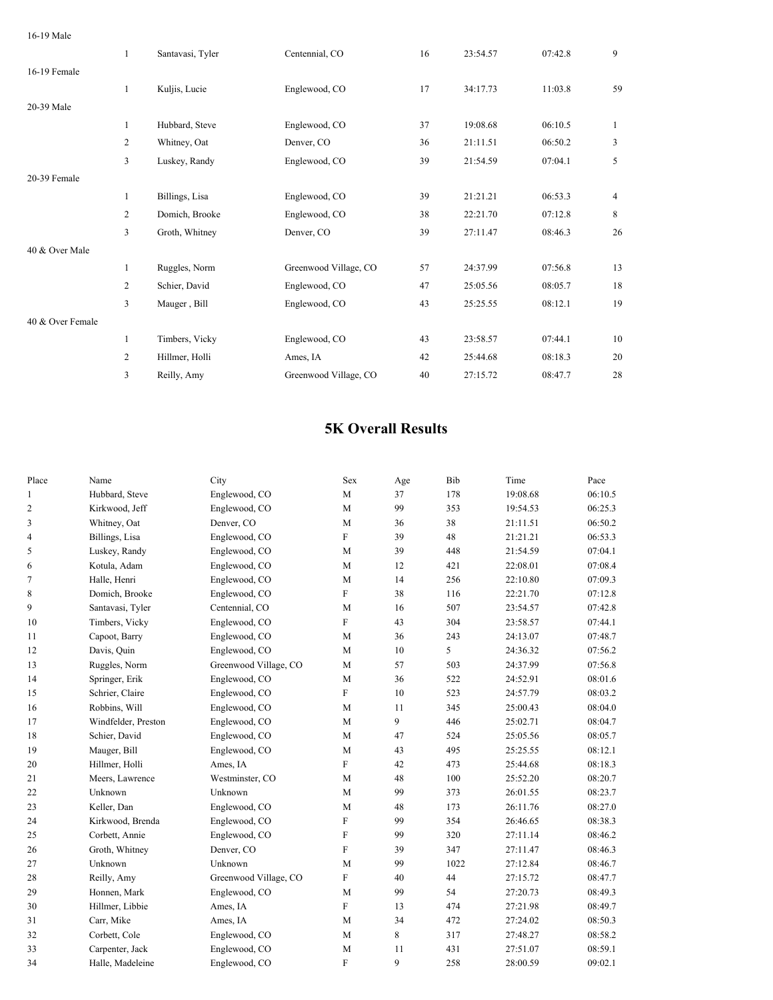#### 16-19 Male

|                  | $\mathbf{1}$   | Santavasi, Tyler | Centennial, CO        | 16 | 23:54.57 | 07:42.8 | 9            |
|------------------|----------------|------------------|-----------------------|----|----------|---------|--------------|
| 16-19 Female     |                |                  |                       |    |          |         |              |
|                  | $\mathbf{1}$   | Kuljis, Lucie    | Englewood, CO         | 17 | 34:17.73 | 11:03.8 | 59           |
| 20-39 Male       |                |                  |                       |    |          |         |              |
|                  | $\mathbf{1}$   | Hubbard, Steve   | Englewood, CO         | 37 | 19:08.68 | 06:10.5 | $\mathbf{1}$ |
|                  | $\overline{c}$ | Whitney, Oat     | Denver, CO            | 36 | 21:11.51 | 06:50.2 | 3            |
|                  | 3              | Luskey, Randy    | Englewood, CO         | 39 | 21:54.59 | 07:04.1 | 5            |
| 20-39 Female     |                |                  |                       |    |          |         |              |
|                  | $\mathbf{1}$   | Billings, Lisa   | Englewood, CO         | 39 | 21:21.21 | 06:53.3 | 4            |
|                  | 2              | Domich, Brooke   | Englewood, CO         | 38 | 22:21.70 | 07:12.8 | 8            |
|                  | 3              | Groth, Whitney   | Denver, CO            | 39 | 27:11.47 | 08:46.3 | 26           |
| 40 & Over Male   |                |                  |                       |    |          |         |              |
|                  | $\mathbf{1}$   | Ruggles, Norm    | Greenwood Village, CO | 57 | 24:37.99 | 07:56.8 | 13           |
|                  | 2              | Schier, David    | Englewood, CO         | 47 | 25:05.56 | 08:05.7 | 18           |
|                  | $\overline{3}$ | Mauger, Bill     | Englewood, CO         | 43 | 25:25.55 | 08:12.1 | 19           |
| 40 & Over Female |                |                  |                       |    |          |         |              |
|                  | $\mathbf{1}$   | Timbers, Vicky   | Englewood, CO         | 43 | 23:58.57 | 07:44.1 | 10           |
|                  | 2              | Hillmer, Holli   | Ames, IA              | 42 | 25:44.68 | 08:18.3 | 20           |
|                  | 3              | Reilly, Amy      | Greenwood Village, CO | 40 | 27:15.72 | 08:47.7 | 28           |
|                  |                |                  |                       |    |          |         |              |

#### **5K Overall Results**

| Place        | Name                | City                  | Sex                       | $_{\rm Age}$ | Bib  | Time     | Pace    |
|--------------|---------------------|-----------------------|---------------------------|--------------|------|----------|---------|
| $\mathbf{1}$ | Hubbard, Steve      | Englewood, CO         | M                         | 37           | 178  | 19:08.68 | 06:10.5 |
| 2            | Kirkwood, Jeff      | Englewood, CO         | M                         | 99           | 353  | 19:54.53 | 06:25.3 |
| 3            | Whitney, Oat        | Denver, CO            | M                         | 36           | 38   | 21:11.51 | 06:50.2 |
| 4            | Billings, Lisa      | Englewood, CO         | $\mathbf F$               | 39           | 48   | 21:21.21 | 06:53.3 |
| 5            | Luskey, Randy       | Englewood, CO         | M                         | 39           | 448  | 21:54.59 | 07:04.1 |
| 6            | Kotula, Adam        | Englewood, CO         | M                         | 12           | 421  | 22:08.01 | 07:08.4 |
| 7            | Halle, Henri        | Englewood, CO         | M                         | 14           | 256  | 22:10.80 | 07:09.3 |
| 8            | Domich, Brooke      | Englewood, CO         | $\boldsymbol{\mathrm{F}}$ | 38           | 116  | 22:21.70 | 07:12.8 |
| 9            | Santavasi, Tyler    | Centennial, CO        | M                         | 16           | 507  | 23:54.57 | 07:42.8 |
| 10           | Timbers, Vicky      | Englewood, CO         | $\boldsymbol{\mathrm{F}}$ | 43           | 304  | 23:58.57 | 07:44.1 |
| 11           | Capoot, Barry       | Englewood, CO         | M                         | 36           | 243  | 24:13.07 | 07:48.7 |
| 12           | Davis, Quin         | Englewood, CO         | M                         | 10           | 5    | 24:36.32 | 07:56.2 |
| 13           | Ruggles, Norm       | Greenwood Village, CO | M                         | 57           | 503  | 24:37.99 | 07:56.8 |
| 14           | Springer, Erik      | Englewood, CO         | M                         | 36           | 522  | 24:52.91 | 08:01.6 |
| 15           | Schrier, Claire     | Englewood, CO         | $\boldsymbol{\mathrm{F}}$ | 10           | 523  | 24:57.79 | 08:03.2 |
| 16           | Robbins, Will       | Englewood, CO         | M                         | 11           | 345  | 25:00.43 | 08:04.0 |
| 17           | Windfelder, Preston | Englewood, CO         | M                         | 9            | 446  | 25:02.71 | 08:04.7 |
| 18           | Schier, David       | Englewood, CO         | $\mathbf M$               | 47           | 524  | 25:05.56 | 08:05.7 |
| 19           | Mauger, Bill        | Englewood, CO         | M                         | 43           | 495  | 25:25.55 | 08:12.1 |
| 20           | Hillmer, Holli      | Ames, IA              | F                         | 42           | 473  | 25:44.68 | 08:18.3 |
| 21           | Meers, Lawrence     | Westminster, CO       | M                         | 48           | 100  | 25:52.20 | 08:20.7 |
| 22           | Unknown             | Unknown               | M                         | 99           | 373  | 26:01.55 | 08:23.7 |
| 23           | Keller, Dan         | Englewood, CO         | M                         | 48           | 173  | 26:11.76 | 08:27.0 |
| 24           | Kirkwood, Brenda    | Englewood, CO         | ${\rm F}$                 | 99           | 354  | 26:46.65 | 08:38.3 |
| 25           | Corbett, Annie      | Englewood, CO         | F                         | 99           | 320  | 27:11.14 | 08:46.2 |
| 26           | Groth, Whitney      | Denver, CO            | $\mathbf F$               | 39           | 347  | 27:11.47 | 08:46.3 |
| 27           | Unknown             | Unknown               | M                         | 99           | 1022 | 27:12.84 | 08:46.7 |
| 28           | Reilly, Amy         | Greenwood Village, CO | ${\rm F}$                 | 40           | 44   | 27:15.72 | 08:47.7 |
| 29           | Honnen, Mark        | Englewood, CO         | M                         | 99           | 54   | 27:20.73 | 08:49.3 |
| 30           | Hillmer, Libbie     | Ames, IA              | ${\rm F}$                 | 13           | 474  | 27:21.98 | 08:49.7 |
| 31           | Carr, Mike          | Ames, IA              | M                         | 34           | 472  | 27:24.02 | 08:50.3 |
| 32           | Corbett, Cole       | Englewood, CO         | M                         | 8            | 317  | 27:48.27 | 08:58.2 |
| 33           | Carpenter, Jack     | Englewood, CO         | M                         | 11           | 431  | 27:51.07 | 08:59.1 |
| 34           | Halle, Madeleine    | Englewood, CO         | F                         | 9            | 258  | 28:00.59 | 09:02.1 |
|              |                     |                       |                           |              |      |          |         |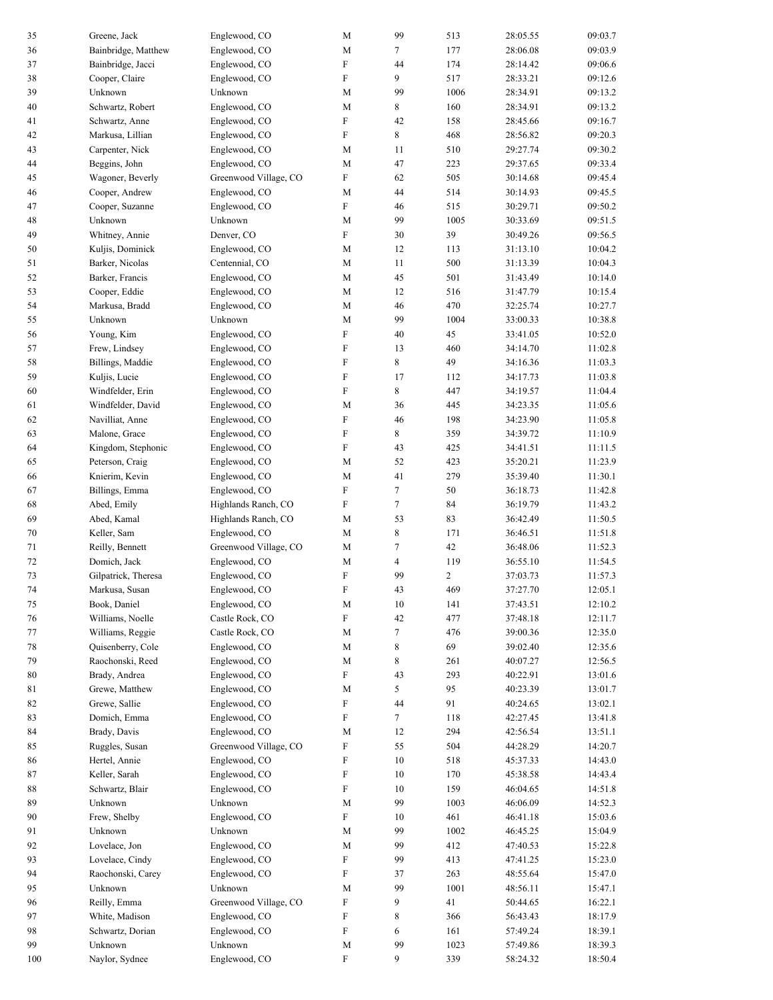| 35     | Greene, Jack        | Englewood, CO         | M           | 99                       | 513            | 28:05.55             | 09:03.7 |
|--------|---------------------|-----------------------|-------------|--------------------------|----------------|----------------------|---------|
| 36     | Bainbridge, Matthew | Englewood, CO         | M           | 7                        | 177            | 28:06.08             | 09:03.9 |
| 37     | Bainbridge, Jacci   | Englewood, CO         | F           | 44                       | 174            | 28:14.42             | 09:06.6 |
| 38     | Cooper, Claire      | Englewood, CO         | F           | 9                        | 517            | 28:33.21             | 09:12.6 |
| 39     | Unknown             | Unknown               | M           | 99                       | 1006           | 28:34.91             | 09:13.2 |
| 40     | Schwartz, Robert    | Englewood, CO         | М           | 8                        | 160            | 28:34.91             | 09:13.2 |
| 41     | Schwartz, Anne      | Englewood, CO         | F           | 42                       | 158            | 28:45.66             | 09:16.7 |
| 42     | Markusa, Lillian    | Englewood, CO         | F           | 8                        | 468            | 28:56.82             | 09:20.3 |
| 43     | Carpenter, Nick     | Englewood, CO         | M           | 11                       | 510            | 29:27.74             | 09:30.2 |
| 44     | Beggins, John       | Englewood, CO         | M           | 47                       | 223            | 29:37.65             | 09:33.4 |
| 45     | Wagoner, Beverly    | Greenwood Village, CO | F           | 62                       | 505            | 30:14.68             | 09:45.4 |
| 46     | Cooper, Andrew      | Englewood, CO         | M           | 44                       | 514            | 30:14.93             | 09:45.5 |
|        |                     | Englewood, CO         | F           | 46                       |                |                      | 09:50.2 |
| 47     | Cooper, Suzanne     |                       |             |                          | 515            | 30:29.71             |         |
| 48     | Unknown             | Unknown               | M           | 99                       | 1005           | 30:33.69             | 09:51.5 |
| 49     | Whitney, Annie      | Denver, CO            | F           | 30                       | 39             | 30:49.26             | 09:56.5 |
| 50     | Kuljis, Dominick    | Englewood, CO         | М           | 12                       | 113            | 31:13.10             | 10:04.2 |
| 51     | Barker, Nicolas     | Centennial, CO        | $\mathbf M$ | 11                       | 500            | 31:13.39             | 10:04.3 |
| 52     | Barker, Francis     | Englewood, CO         | $\mathbf M$ | 45                       | 501            | 31:43.49             | 10:14.0 |
| 53     | Cooper, Eddie       | Englewood, CO         | $\mathbf M$ | 12                       | 516            | 31:47.79             | 10:15.4 |
| 54     | Markusa, Bradd      | Englewood, CO         | М           | 46                       | 470            | 32:25.74             | 10:27.7 |
| 55     | Unknown             | Unknown               | ${\bf M}$   | 99                       | 1004           | 33:00.33             | 10:38.8 |
| 56     | Young, Kim          | Englewood, CO         | F           | 40                       | 45             | 33:41.05             | 10:52.0 |
| 57     | Frew, Lindsey       | Englewood, CO         | F           | 13                       | 460            | 34:14.70             | 11:02.8 |
| 58     | Billings, Maddie    | Englewood, CO         | F           | 8                        | 49             | 34:16.36             | 11:03.3 |
| 59     | Kuljis, Lucie       | Englewood, CO         | F           | 17                       | 112            | 34:17.73             | 11:03.8 |
| 60     | Windfelder, Erin    | Englewood, CO         | F           | 8                        | 447            | 34:19.57             | 11:04.4 |
| 61     | Windfelder, David   | Englewood, CO         | M           | 36                       | 445            | 34:23.35             | 11:05.6 |
| 62     | Navilliat, Anne     | Englewood, CO         | F           | 46                       | 198            | 34:23.90             | 11:05.8 |
| 63     | Malone, Grace       | Englewood, CO         | F           | 8                        | 359            | 34:39.72             | 11:10.9 |
| 64     | Kingdom, Stephonic  | Englewood, CO         | F           | 43                       | 425            | 34:41.51             | 11:11.5 |
| 65     | Peterson, Craig     | Englewood, CO         | М           | 52                       | 423            | 35:20.21             | 11:23.9 |
| 66     | Knierim, Kevin      | Englewood, CO         | M           | 41                       | 279            | 35:39.40             | 11:30.1 |
| 67     | Billings, Emma      | Englewood, CO         | F           | $\tau$                   | 50             | 36:18.73             | 11:42.8 |
| 68     | Abed, Emily         | Highlands Ranch, CO   | F           | $\tau$                   | 84             | 36:19.79             | 11:43.2 |
| 69     | Abed, Kamal         | Highlands Ranch, CO   | М           | 53                       | 83             | 36:42.49             | 11:50.5 |
| 70     | Keller, Sam         | Englewood, CO         | М           | $\,$ 8 $\,$              | 171            | 36:46.51             | 11:51.8 |
| 71     | Reilly, Bennett     | Greenwood Village, CO | $\mathbf M$ | $\tau$                   | 42             | 36:48.06             | 11:52.3 |
| 72     | Domich, Jack        | Englewood, CO         | М           | $\overline{\mathcal{L}}$ | 119            | 36:55.10             | 11:54.5 |
| 73     | Gilpatrick, Theresa | Englewood, CO         | F           | 99                       | $\overline{c}$ | 37:03.73             | 11:57.3 |
| 74     | Markusa, Susan      | Englewood, CO         | F           | 43                       | 469            | 37:27.70             | 12:05.1 |
| $75\,$ | Book, Daniel        | Englewood, CO         | $\mathbf M$ | $10\,$                   | 141            | 37:43.51             | 12:10.2 |
| 76     | Williams, Noelle    | Castle Rock, CO       | F           | 42                       | 477            | 37:48.18             | 12:11.7 |
| 77     | Williams, Reggie    | Castle Rock, CO       | M           | $\tau$                   | 476            | 39:00.36             | 12:35.0 |
| 78     | Quisenberry, Cole   | Englewood, CO         | М           | 8                        | 69             | 39:02.40             | 12:35.6 |
| 79     | Raochonski, Reed    | Englewood, CO         | M           | 8                        | 261            | 40:07.27             | 12:56.5 |
| $80\,$ | Brady, Andrea       | Englewood, CO         | F           | 43                       | 293            | 40:22.91             | 13:01.6 |
| 81     | Grewe, Matthew      | Englewood, CO         | M           | 5                        | 95             | 40:23.39             | 13:01.7 |
|        | Grewe, Sallie       | Englewood, CO         | F           | 44                       | 91             | 40:24.65             | 13:02.1 |
| 82     | Domich, Emma        |                       | F           |                          |                |                      |         |
| 83     |                     | Englewood, CO         |             | 7                        | 118            | 42:27.45<br>42:56.54 | 13:41.8 |
| 84     | Brady, Davis        | Englewood, CO         | M           | 12                       | 294            |                      | 13:51.1 |
| 85     | Ruggles, Susan      | Greenwood Village, CO | F           | 55                       | 504            | 44:28.29             | 14:20.7 |
| 86     | Hertel, Annie       | Englewood, CO         | F           | 10                       | 518            | 45:37.33             | 14:43.0 |
| 87     | Keller, Sarah       | Englewood, CO         | F           | 10                       | 170            | 45:38.58             | 14:43.4 |
| 88     | Schwartz, Blair     | Englewood, CO         | F           | 10                       | 159            | 46:04.65             | 14:51.8 |
| 89     | Unknown             | Unknown               | M           | 99                       | 1003           | 46:06.09             | 14:52.3 |
| 90     | Frew, Shelby        | Englewood, CO         | F           | 10                       | 461            | 46:41.18             | 15:03.6 |
| 91     | Unknown             | Unknown               | M           | 99                       | 1002           | 46:45.25             | 15:04.9 |
| 92     | Lovelace, Jon       | Englewood, CO         | M           | 99                       | 412            | 47:40.53             | 15:22.8 |
| 93     | Lovelace, Cindy     | Englewood, CO         | F           | 99                       | 413            | 47:41.25             | 15:23.0 |
| 94     | Raochonski, Carey   | Englewood, CO         | F           | 37                       | 263            | 48:55.64             | 15:47.0 |
| 95     | Unknown             | Unknown               | M           | 99                       | 1001           | 48:56.11             | 15:47.1 |
| 96     | Reilly, Emma        | Greenwood Village, CO | F           | 9                        | 41             | 50:44.65             | 16:22.1 |
| 97     | White, Madison      | Englewood, CO         | F           | 8                        | 366            | 56:43.43             | 18:17.9 |
| 98     | Schwartz, Dorian    | Englewood, CO         | F           | 6                        | 161            | 57:49.24             | 18:39.1 |
| 99     | Unknown             | Unknown               | M           | 99                       | 1023           | 57:49.86             | 18:39.3 |
| 100    | Naylor, Sydnee      | Englewood, CO         | F           | 9                        | 339            | 58:24.32             | 18:50.4 |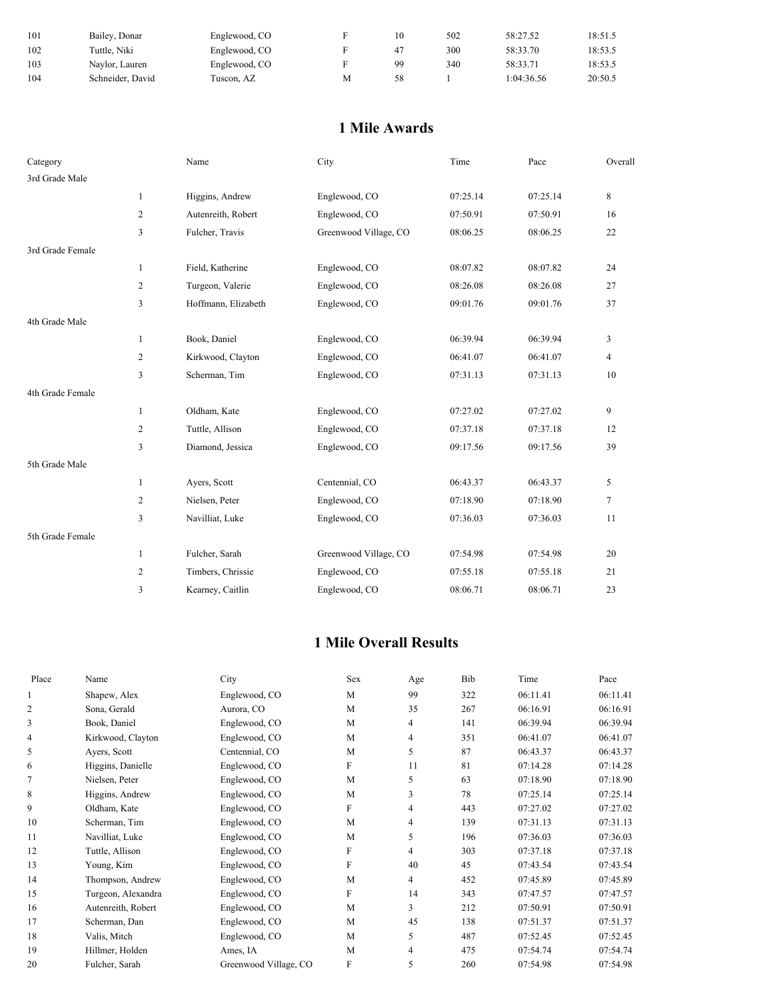| 101 | Bailey, Donar    | Englewood, CO |   |    | 502 | 58:27.52   | 18:51.5 |
|-----|------------------|---------------|---|----|-----|------------|---------|
| 102 | Tuttle. Niki     | Englewood, CO |   | 41 | 300 | 58:33.70   | 18:53.5 |
| 103 | Naylor, Lauren   | Englewood, CO |   | 99 | 340 | 58:33.71   | 18:53.5 |
| 104 | Schneider, David | Fuscon. AZ    | М | 58 |     | 1:04:36.56 | 20:50.5 |

### **1 Mile Awards**

| Category         |                | Name                | City                  | Time     | Pace     | Overall        |
|------------------|----------------|---------------------|-----------------------|----------|----------|----------------|
| 3rd Grade Male   |                |                     |                       |          |          |                |
|                  | $\mathbf{1}$   | Higgins, Andrew     | Englewood, CO         | 07:25.14 | 07:25.14 | 8              |
|                  | $\overline{c}$ | Autenreith, Robert  | Englewood, CO         | 07:50.91 | 07:50.91 | 16             |
|                  | 3              | Fulcher, Travis     | Greenwood Village, CO | 08:06.25 | 08:06.25 | 22             |
| 3rd Grade Female |                |                     |                       |          |          |                |
|                  | $\mathbf{1}$   | Field, Katherine    | Englewood, CO         | 08:07.82 | 08:07.82 | 24             |
|                  | $\overline{c}$ | Turgeon, Valerie    | Englewood, CO         | 08:26.08 | 08:26.08 | 27             |
|                  | 3              | Hoffmann, Elizabeth | Englewood, CO         | 09:01.76 | 09:01.76 | 37             |
| 4th Grade Male   |                |                     |                       |          |          |                |
|                  | $\mathbf{1}$   | Book, Daniel        | Englewood, CO         | 06:39.94 | 06:39.94 | 3              |
|                  | $\mathfrak{2}$ | Kirkwood, Clayton   | Englewood, CO         | 06:41.07 | 06:41.07 | $\overline{4}$ |
|                  | 3              | Scherman, Tim       | Englewood, CO         | 07:31.13 | 07:31.13 | 10             |
| 4th Grade Female |                |                     |                       |          |          |                |
|                  | $\mathbf{1}$   | Oldham, Kate        | Englewood, CO         | 07:27.02 | 07:27.02 | 9              |
|                  | $\mathfrak{2}$ | Tuttle, Allison     | Englewood, CO         | 07:37.18 | 07:37.18 | 12             |
|                  | 3              | Diamond, Jessica    | Englewood, CO         | 09:17.56 | 09:17.56 | 39             |
| 5th Grade Male   |                |                     |                       |          |          |                |
|                  | $\mathbf{1}$   | Ayers, Scott        | Centennial, CO        | 06:43.37 | 06:43.37 | 5              |
|                  | $\mathfrak{2}$ | Nielsen, Peter      | Englewood, CO         | 07:18.90 | 07:18.90 | $\tau$         |
|                  | 3              | Navilliat, Luke     | Englewood, CO         | 07:36.03 | 07:36.03 | 11             |
| 5th Grade Female |                |                     |                       |          |          |                |
|                  | $\mathbf{1}$   | Fulcher, Sarah      | Greenwood Village, CO | 07:54.98 | 07:54.98 | 20             |
|                  | $\overline{c}$ | Timbers, Chrissie   | Englewood, CO         | 07:55.18 | 07:55.18 | 21             |
|                  | 3              | Kearney, Caitlin    | Englewood, CO         | 08:06.71 | 08:06.71 | 23             |

## **1 Mile Overall Results**

| Place          | Name               | City                  | Sex          | Age            | Bib | Time     | Pace     |
|----------------|--------------------|-----------------------|--------------|----------------|-----|----------|----------|
|                | Shapew, Alex       | Englewood, CO         | M            | 99             | 322 | 06:11.41 | 06:11.41 |
| $\overline{2}$ | Sona, Gerald       | Aurora, CO            | M            | 35             | 267 | 06:16.91 | 06:16.91 |
| 3              | Book, Daniel       | Englewood, CO         | M            | $\overline{4}$ | 141 | 06:39.94 | 06:39.94 |
| 4              | Kirkwood, Clayton  | Englewood, CO         | M            | 4              | 351 | 06:41.07 | 06:41.07 |
| 5              | Ayers, Scott       | Centennial, CO        | M            | 5              | 87  | 06:43.37 | 06:43.37 |
| 6              | Higgins, Danielle  | Englewood, CO         | F            | 11             | 81  | 07:14.28 | 07:14.28 |
| 7              | Nielsen, Peter     | Englewood, CO         | M            | 5              | 63  | 07:18.90 | 07:18.90 |
| 8              | Higgins, Andrew    | Englewood, CO         | M            | 3              | 78  | 07:25.14 | 07:25.14 |
| 9              | Oldham, Kate       | Englewood, CO         | F            | 4              | 443 | 07:27.02 | 07:27.02 |
| 10             | Scherman, Tim      | Englewood, CO         | M            | 4              | 139 | 07:31.13 | 07:31.13 |
| 11             | Navilliat, Luke    | Englewood, CO         | M            | 5              | 196 | 07:36.03 | 07:36.03 |
| 12             | Tuttle, Allison    | Englewood, CO         | $\mathbf{F}$ | $\overline{4}$ | 303 | 07:37.18 | 07:37.18 |
| 13             | Young, Kim         | Englewood, CO         | F            | 40             | 45  | 07:43.54 | 07:43.54 |
| 14             | Thompson, Andrew   | Englewood, CO         | M            | $\overline{4}$ | 452 | 07:45.89 | 07:45.89 |
| 15             | Turgeon, Alexandra | Englewood, CO         | F            | 14             | 343 | 07:47.57 | 07:47.57 |
| 16             | Autenreith, Robert | Englewood, CO         | M            | 3              | 212 | 07:50.91 | 07:50.91 |
| 17             | Scherman, Dan      | Englewood, CO         | M            | 45             | 138 | 07:51.37 | 07:51.37 |
| 18             | Valis, Mitch       | Englewood, CO         | M            | 5              | 487 | 07:52.45 | 07:52.45 |
| 19             | Hillmer, Holden    | Ames, IA              | M            | 4              | 475 | 07:54.74 | 07:54.74 |
| 20             | Fulcher, Sarah     | Greenwood Village, CO | F            | 5              | 260 | 07:54.98 | 07:54.98 |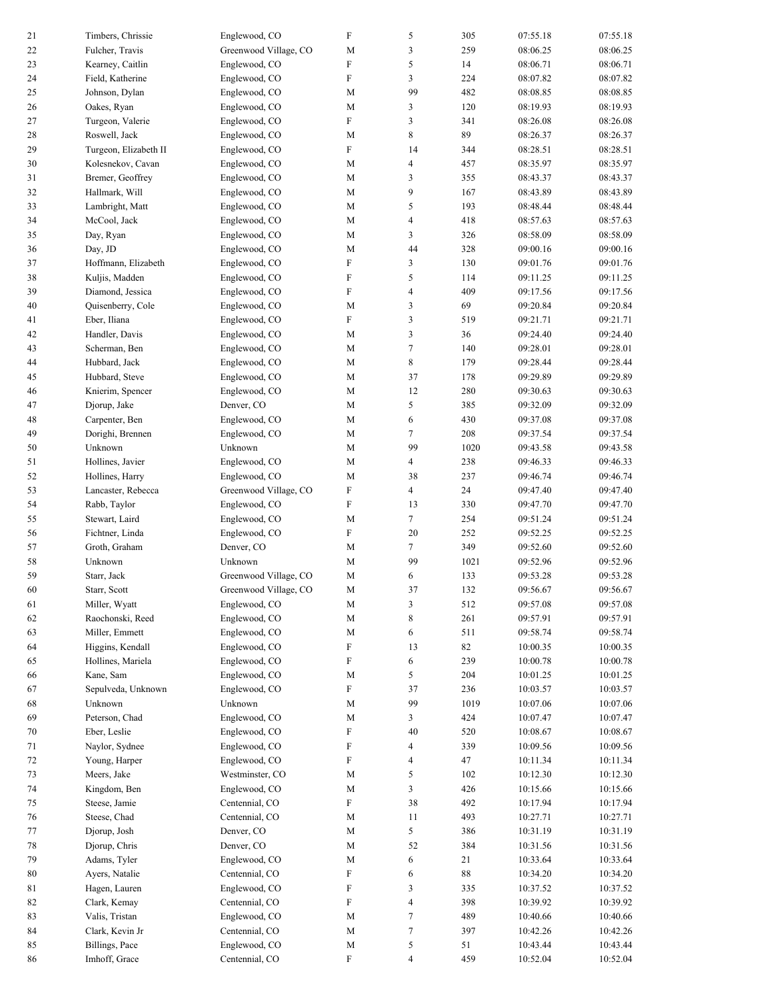| 21     | Timbers, Chrissie     | Englewood, CO         | F                         | 5                        | 305    | 07:55.18 | 07:55.18 |
|--------|-----------------------|-----------------------|---------------------------|--------------------------|--------|----------|----------|
| 22     | Fulcher, Travis       | Greenwood Village, CO | M                         | 3                        | 259    | 08:06.25 | 08:06.25 |
| 23     | Kearney, Caitlin      | Englewood, CO         | F                         | 5                        | 14     | 08:06.71 | 08:06.71 |
| 24     | Field, Katherine      | Englewood, CO         | ${\rm F}$                 | 3                        | 224    | 08:07.82 | 08:07.82 |
| 25     | Johnson, Dylan        | Englewood, CO         | M                         | 99                       | 482    | 08:08.85 | 08:08.85 |
| 26     | Oakes, Ryan           | Englewood, CO         | M                         | 3                        | 120    | 08:19.93 | 08:19.93 |
| 27     | Turgeon, Valerie      | Englewood, CO         | ${\rm F}$                 | 3                        | 341    | 08:26.08 | 08:26.08 |
| 28     | Roswell, Jack         | Englewood, CO         | M                         | 8                        | 89     | 08:26.37 | 08:26.37 |
| 29     | Turgeon, Elizabeth II | Englewood, CO         | ${\rm F}$                 | 14                       | 344    | 08:28.51 | 08:28.51 |
|        | Kolesnekov, Cavan     |                       |                           |                          | 457    | 08:35.97 | 08:35.97 |
| 30     |                       | Englewood, CO         | M                         | $\overline{\mathcal{L}}$ |        |          |          |
| 31     | Bremer, Geoffrey      | Englewood, CO         | M                         | 3                        | 355    | 08:43.37 | 08:43.37 |
| 32     | Hallmark, Will        | Englewood, CO         | M                         | 9                        | 167    | 08:43.89 | 08:43.89 |
| 33     | Lambright, Matt       | Englewood, CO         | M                         | 5                        | 193    | 08:48.44 | 08:48.44 |
| 34     | McCool, Jack          | Englewood, CO         | $\mathbf M$               | $\overline{\mathcal{L}}$ | 418    | 08:57.63 | 08:57.63 |
| 35     | Day, Ryan             | Englewood, CO         | M                         | 3                        | 326    | 08:58.09 | 08:58.09 |
| 36     | Day, JD               | Englewood, CO         | M                         | 44                       | 328    | 09:00.16 | 09:00.16 |
| 37     | Hoffmann, Elizabeth   | Englewood, CO         | ${\rm F}$                 | 3                        | 130    | 09:01.76 | 09:01.76 |
| 38     | Kuljis, Madden        | Englewood, CO         | $\rm F$                   | 5                        | 114    | 09:11.25 | 09:11.25 |
| 39     | Diamond, Jessica      | Englewood, CO         | ${\rm F}$                 | $\overline{\mathcal{L}}$ | 409    | 09:17.56 | 09:17.56 |
| 40     | Quisenberry, Cole     | Englewood, CO         | M                         | 3                        | 69     | 09:20.84 | 09:20.84 |
| 41     | Eber, Iliana          | Englewood, CO         | ${\rm F}$                 | 3                        | 519    | 09:21.71 | 09:21.71 |
| 42     | Handler, Davis        | Englewood, CO         | M                         | 3                        | 36     | 09:24.40 | 09:24.40 |
| 43     | Scherman, Ben         | Englewood, CO         | M                         | $\tau$                   | 140    | 09:28.01 | 09:28.01 |
| 44     | Hubbard, Jack         | Englewood, CO         | M                         | 8                        | 179    | 09:28.44 | 09:28.44 |
| 45     | Hubbard, Steve        | Englewood, CO         | M                         | 37                       | 178    | 09:29.89 | 09:29.89 |
| 46     | Knierim, Spencer      | Englewood, CO         | $\mathbf M$               | 12                       | 280    | 09:30.63 | 09:30.63 |
| 47     | Djorup, Jake          | Denver, CO            | M                         | 5                        | 385    | 09:32.09 | 09:32.09 |
| 48     | Carpenter, Ben        | Englewood, CO         | M                         | 6                        | 430    | 09:37.08 | 09:37.08 |
| 49     | Dorighi, Brennen      | Englewood, CO         | M                         | $\tau$                   | 208    | 09:37.54 | 09:37.54 |
| 50     | Unknown               | Unknown               | $\mathbf M$               | 99                       | 1020   | 09:43.58 | 09:43.58 |
| 51     | Hollines, Javier      | Englewood, CO         | M                         | 4                        | 238    | 09:46.33 | 09:46.33 |
| 52     | Hollines, Harry       | Englewood, CO         | M                         | 38                       | 237    | 09:46.74 | 09:46.74 |
| 53     | Lancaster, Rebecca    | Greenwood Village, CO | ${\rm F}$                 | $\overline{4}$           | 24     | 09:47.40 | 09:47.40 |
| 54     | Rabb, Taylor          | Englewood, CO         | ${\rm F}$                 | 13                       | 330    | 09:47.70 | 09:47.70 |
| 55     | Stewart, Laird        | Englewood, CO         | M                         | $\tau$                   | 254    | 09:51.24 | 09:51.24 |
| 56     | Fichtner, Linda       | Englewood, CO         | ${\rm F}$                 | 20                       | 252    | 09:52.25 | 09:52.25 |
| 57     | Groth, Graham         | Denver, CO            | M                         | $\overline{7}$           | 349    | 09:52.60 | 09:52.60 |
| 58     | Unknown               | Unknown               | M                         | 99                       | 1021   | 09:52.96 | 09:52.96 |
| 59     | Starr, Jack           | Greenwood Village, CO | M                         | 6                        | 133    | 09:53.28 | 09:53.28 |
| 60     | Starr, Scott          | Greenwood Village, CO | M                         | 37                       | 132    | 09:56.67 | 09:56.67 |
| 61     | Miller, Wyatt         | Englewood, CO         | $\mathbf M$               | $\mathfrak{Z}$           | 512    | 09:57.08 | 09:57.08 |
| 62     | Raochonski, Reed      | Englewood, CO         | $\mathbf M$               | 8                        | 261    | 09:57.91 | 09:57.91 |
| 63     | Miller, Emmett        | Englewood, CO         | M                         | 6                        | 511    | 09:58.74 | 09:58.74 |
| 64     | Higgins, Kendall      | Englewood, CO         | $\boldsymbol{\mathrm{F}}$ | 13                       | 82     | 10:00.35 | 10:00.35 |
| 65     | Hollines, Mariela     | Englewood, CO         | ${\rm F}$                 | 6                        | 239    | 10:00.78 | 10:00.78 |
| 66     | Kane, Sam             | Englewood, CO         | $\mathbf M$               | 5                        | 204    | 10:01.25 | 10:01.25 |
| 67     | Sepulveda, Unknown    | Englewood, CO         | F                         | 37                       | 236    | 10:03.57 | 10:03.57 |
| 68     | Unknown               | Unknown               | M                         | 99                       | 1019   | 10:07.06 | 10:07.06 |
| 69     | Peterson, Chad        | Englewood, CO         | M                         | 3                        | 424    | 10:07.47 | 10:07.47 |
| $70\,$ | Eber, Leslie          | Englewood, CO         | ${\rm F}$                 | 40                       | 520    | 10:08.67 | 10:08.67 |
| 71     | Naylor, Sydnee        | Englewood, CO         | F                         | $\overline{\mathcal{A}}$ | 339    | 10:09.56 | 10:09.56 |
| 72     | Young, Harper         | Englewood, CO         | F                         | $\overline{4}$           | 47     | 10:11.34 | 10:11.34 |
| 73     | Meers, Jake           | Westminster, CO       | $\mathbf M$               | 5                        | 102    | 10:12.30 | 10:12.30 |
| 74     | Kingdom, Ben          | Englewood, CO         | $\mathbf M$               | 3                        | 426    | 10:15.66 | 10:15.66 |
| 75     | Steese, Jamie         | Centennial, CO        | F                         | $38\,$                   | 492    | 10:17.94 | 10:17.94 |
| 76     | Steese, Chad          | Centennial, CO        | M                         | 11                       | 493    | 10:27.71 | 10:27.71 |
| 77     | Djorup, Josh          | Denver, CO            | $\mathbf M$               | 5                        | 386    | 10:31.19 | 10:31.19 |
| 78     | Djorup, Chris         | Denver, CO            | $\mathbf M$               | 52                       | 384    | 10:31.56 | 10:31.56 |
| 79     | Adams, Tyler          | Englewood, CO         | M                         | 6                        | 21     | 10:33.64 | 10:33.64 |
| 80     | Ayers, Natalie        | Centennial, CO        | F                         | 6                        | $88\,$ | 10:34.20 | 10:34.20 |
| 81     | Hagen, Lauren         | Englewood, CO         | F                         | 3                        | 335    | 10:37.52 | 10:37.52 |
| 82     | Clark, Kemay          | Centennial, CO        | F                         | $\overline{4}$           | 398    | 10:39.92 | 10:39.92 |
| 83     | Valis, Tristan        | Englewood, CO         | $\mathbf M$               | $\tau$                   | 489    | 10:40.66 | 10:40.66 |
| 84     | Clark, Kevin Jr       | Centennial, CO        | M                         | $\tau$                   | 397    | 10:42.26 | 10:42.26 |
| 85     | Billings, Pace        | Englewood, CO         | M                         | 5                        | 51     | 10:43.44 | 10:43.44 |
| 86     | Imhoff, Grace         | Centennial, CO        | ${\rm F}$                 | $\overline{4}$           | 459    | 10:52.04 | 10:52.04 |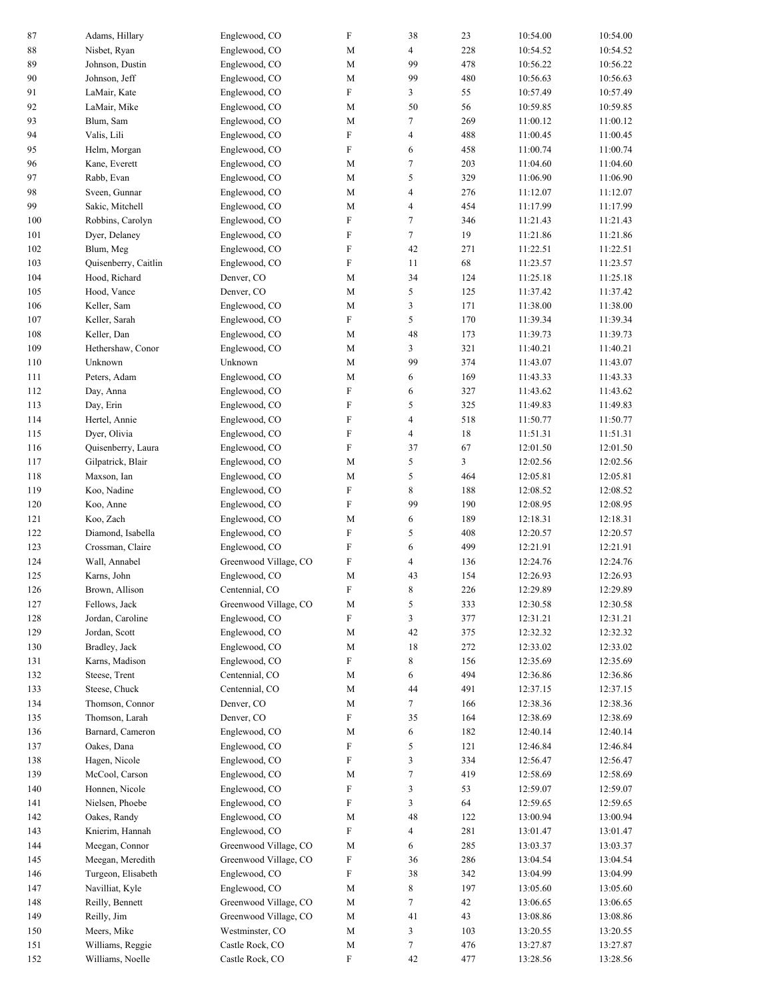| 87  | Adams, Hillary       | Englewood, CO         | $\rm F$                   | 38                       | 23     | 10:54.00 | 10:54.00 |
|-----|----------------------|-----------------------|---------------------------|--------------------------|--------|----------|----------|
| 88  | Nisbet, Ryan         | Englewood, CO         | M                         | 4                        | 228    | 10:54.52 | 10:54.52 |
| 89  | Johnson, Dustin      | Englewood, CO         | M                         | 99                       | 478    | 10:56.22 | 10:56.22 |
| 90  | Johnson, Jeff        | Englewood, CO         | M                         | 99                       | 480    | 10:56.63 | 10:56.63 |
| 91  | LaMair, Kate         | Englewood, CO         | $\boldsymbol{\mathrm{F}}$ | 3                        | 55     | 10:57.49 | 10:57.49 |
| 92  | LaMair, Mike         | Englewood, CO         | M                         | 50                       | 56     | 10:59.85 | 10:59.85 |
| 93  | Blum, Sam            | Englewood, CO         | M                         | 7                        | 269    | 11:00.12 | 11:00.12 |
| 94  | Valis, Lili          | Englewood, CO         | $\rm F$                   | $\overline{\mathbf{4}}$  | 488    | 11:00.45 | 11:00.45 |
| 95  | Helm, Morgan         | Englewood, CO         | $\rm F$                   | 6                        | 458    | 11:00.74 | 11:00.74 |
|     |                      |                       |                           | $\tau$                   | 203    |          | 11:04.60 |
| 96  | Kane, Everett        | Englewood, CO         | M                         |                          |        | 11:04.60 |          |
| 97  | Rabb, Evan           | Englewood, CO         | M                         | 5                        | 329    | 11:06.90 | 11:06.90 |
| 98  | Sveen, Gunnar        | Englewood, CO         | M                         | $\overline{4}$           | 276    | 11:12.07 | 11:12.07 |
| 99  | Sakic, Mitchell      | Englewood, CO         | M                         | $\overline{4}$           | 454    | 11:17.99 | 11:17.99 |
| 100 | Robbins, Carolyn     | Englewood, CO         | F                         | 7                        | 346    | 11:21.43 | 11:21.43 |
| 101 | Dyer, Delaney        | Englewood, CO         | $\rm F$                   | 7                        | 19     | 11:21.86 | 11:21.86 |
| 102 | Blum, Meg            | Englewood, CO         | $\rm F$                   | 42                       | 271    | 11:22.51 | 11:22.51 |
| 103 | Quisenberry, Caitlin | Englewood, CO         | $\rm F$                   | 11                       | 68     | 11:23.57 | 11:23.57 |
| 104 | Hood, Richard        | Denver, CO            | M                         | 34                       | 124    | 11:25.18 | 11:25.18 |
| 105 | Hood, Vance          | Denver, CO            | M                         | 5                        | 125    | 11:37.42 | 11:37.42 |
| 106 | Keller, Sam          | Englewood, CO         | M                         | 3                        | 171    | 11:38.00 | 11:38.00 |
| 107 | Keller, Sarah        | Englewood, CO         | $\rm F$                   | 5                        | 170    | 11:39.34 | 11:39.34 |
| 108 | Keller, Dan          | Englewood, CO         | M                         | 48                       | 173    | 11:39.73 | 11:39.73 |
| 109 | Hethershaw, Conor    | Englewood, CO         | M                         | 3                        | 321    | 11:40.21 | 11:40.21 |
| 110 | Unknown              | Unknown               | M                         | 99                       | 374    | 11:43.07 | 11:43.07 |
| 111 | Peters, Adam         | Englewood, CO         | M                         | 6                        | 169    | 11:43.33 | 11:43.33 |
| 112 | Day, Anna            | Englewood, CO         | $\rm F$                   | 6                        | 327    | 11:43.62 | 11:43.62 |
| 113 | Day, Erin            | Englewood, CO         | $\boldsymbol{\mathrm{F}}$ | 5                        | 325    | 11:49.83 | 11:49.83 |
| 114 | Hertel, Annie        | Englewood, CO         | $\rm F$                   | $\overline{\mathcal{L}}$ | 518    | 11:50.77 | 11:50.77 |
| 115 | Dyer, Olivia         | Englewood, CO         | $\rm F$                   | $\overline{4}$           | 18     | 11:51.31 | 11:51.31 |
| 116 | Quisenberry, Laura   | Englewood, CO         | $\rm F$                   | 37                       | 67     | 12:01.50 | 12:01.50 |
| 117 | Gilpatrick, Blair    | Englewood, CO         | M                         | 5                        | 3      | 12:02.56 | 12:02.56 |
| 118 | Maxson, Ian          | Englewood, CO         | M                         | 5                        | 464    | 12:05.81 | 12:05.81 |
| 119 | Koo, Nadine          | Englewood, CO         | $\rm F$                   | 8                        | 188    | 12:08.52 | 12:08.52 |
| 120 | Koo, Anne            | Englewood, CO         | $\rm F$                   | 99                       | 190    | 12:08.95 | 12:08.95 |
| 121 | Koo, Zach            | Englewood, CO         | M                         | 6                        | 189    | 12:18.31 | 12:18.31 |
| 122 | Diamond, Isabella    | Englewood, CO         | $\rm F$                   | 5                        | 408    | 12:20.57 | 12:20.57 |
| 123 | Crossman, Claire     | Englewood, CO         | $\rm F$                   | 6                        | 499    | 12:21.91 | 12:21.91 |
| 124 | Wall, Annabel        | Greenwood Village, CO | $\rm F$                   | 4                        | 136    | 12:24.76 | 12:24.76 |
| 125 | Karns, John          | Englewood, CO         | M                         | 43                       | 154    | 12:26.93 | 12:26.93 |
| 126 | Brown, Allison       | Centennial, CO        | $\mathbf F$               | 8                        | 226    | 12:29.89 | 12:29.89 |
| 127 | Fellows, Jack        | Greenwood Village, CO | M                         | 5                        | 333    | 12:30.58 | 12:30.58 |
| 128 | Jordan, Caroline     | Englewood, CO         | ${\rm F}$                 | 3                        | 377    | 12:31.21 | 12:31.21 |
| 129 | Jordan, Scott        | Englewood, CO         | M                         | $42\,$                   | 375    | 12:32.32 | 12:32.32 |
| 130 | Bradley, Jack        | Englewood, CO         | M                         | $18\,$                   | 272    | 12:33.02 | 12:33.02 |
| 131 | Karns, Madison       | Englewood, CO         | F                         | 8                        | 156    | 12:35.69 | 12:35.69 |
| 132 | Steese, Trent        | Centennial, CO        | M                         | 6                        | 494    | 12:36.86 | 12:36.86 |
| 133 | Steese, Chuck        | Centennial, CO        | M                         | 44                       | 491    | 12:37.15 | 12:37.15 |
| 134 | Thomson, Connor      | Denver, CO            | $\mathbf M$               | 7                        | 166    | 12:38.36 | 12:38.36 |
| 135 | Thomson, Larah       | Denver, CO            | $\boldsymbol{\mathrm{F}}$ | 35                       | 164    | 12:38.69 | 12:38.69 |
| 136 | Barnard, Cameron     | Englewood, CO         | M                         | 6                        | 182    | 12:40.14 | 12:40.14 |
| 137 | Oakes, Dana          | Englewood, CO         | F                         | 5                        | 121    | 12:46.84 | 12:46.84 |
| 138 | Hagen, Nicole        | Englewood, CO         | ${\rm F}$                 | 3                        | 334    | 12:56.47 | 12:56.47 |
| 139 | McCool, Carson       | Englewood, CO         | M                         | $\tau$                   | 419    | 12:58.69 | 12:58.69 |
| 140 | Honnen, Nicole       | Englewood, CO         | F                         | 3                        | 53     | 12:59.07 | 12:59.07 |
| 141 | Nielsen, Phoebe      | Englewood, CO         | F                         | 3                        | 64     | 12:59.65 | 12:59.65 |
| 142 | Oakes, Randy         | Englewood, CO         | M                         | 48                       | 122    | 13:00.94 | 13:00.94 |
| 143 | Knierim, Hannah      | Englewood, CO         | $\boldsymbol{\mathrm{F}}$ | $\overline{\mathcal{A}}$ | 281    | 13:01.47 | 13:01.47 |
| 144 | Meegan, Connor       | Greenwood Village, CO | M                         | 6                        | 285    | 13:03.37 | 13:03.37 |
| 145 | Meegan, Meredith     | Greenwood Village, CO | F                         | 36                       | 286    | 13:04.54 | 13:04.54 |
| 146 | Turgeon, Elisabeth   | Englewood, CO         | F                         | 38                       | 342    | 13:04.99 | 13:04.99 |
| 147 | Navilliat, Kyle      | Englewood, CO         | M                         | 8                        | 197    | 13:05.60 | 13:05.60 |
| 148 | Reilly, Bennett      | Greenwood Village, CO | M                         | 7                        | $42\,$ | 13:06.65 | 13:06.65 |
| 149 | Reilly, Jim          | Greenwood Village, CO | M                         | 41                       | 43     | 13:08.86 | 13:08.86 |
| 150 | Meers, Mike          | Westminster, CO       | M                         | 3                        | 103    | 13:20.55 | 13:20.55 |
| 151 | Williams, Reggie     | Castle Rock, CO       | M                         | $\tau$                   | 476    | 13:27.87 | 13:27.87 |
| 152 | Williams, Noelle     | Castle Rock, CO       | F                         | 42                       | 477    | 13:28.56 | 13:28.56 |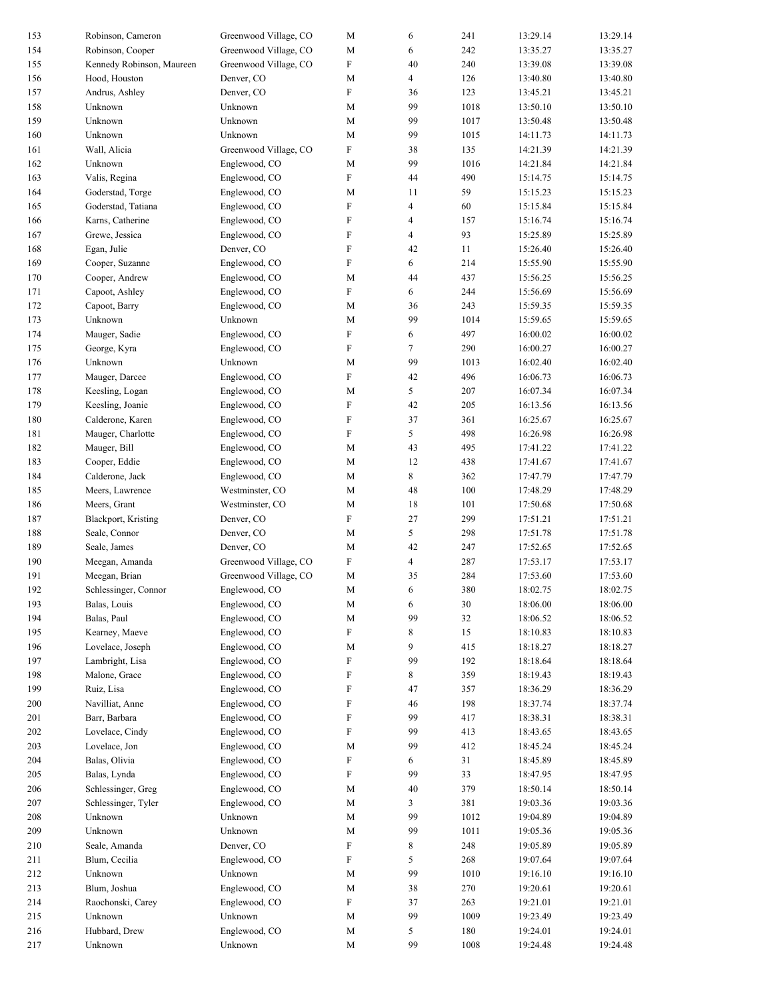| 153 | Robinson, Cameron         | Greenwood Village, CO | M                         | 6              | 241    | 13:29.14 | 13:29.14 |
|-----|---------------------------|-----------------------|---------------------------|----------------|--------|----------|----------|
| 154 | Robinson, Cooper          | Greenwood Village, CO | M                         | 6              | 242    | 13:35.27 | 13:35.27 |
| 155 | Kennedy Robinson, Maureen | Greenwood Village, CO | $\rm F$                   | 40             | 240    | 13:39.08 | 13:39.08 |
| 156 | Hood, Houston             | Denver, CO            | M                         | $\overline{4}$ | 126    | 13:40.80 | 13:40.80 |
| 157 | Andrus, Ashley            | Denver, CO            | $\boldsymbol{\mathrm{F}}$ | 36             | 123    | 13:45.21 | 13:45.21 |
| 158 | Unknown                   | Unknown               | M                         | 99             | 1018   | 13:50.10 | 13:50.10 |
| 159 | Unknown                   | Unknown               | M                         | 99             | 1017   | 13:50.48 | 13:50.48 |
| 160 | Unknown                   | Unknown               | M                         | 99             | 1015   | 14:11.73 | 14:11.73 |
| 161 | Wall, Alicia              | Greenwood Village, CO | $\rm F$                   | 38             | 135    | 14:21.39 | 14:21.39 |
| 162 | Unknown                   | Englewood, CO         | M                         | 99             | 1016   | 14:21.84 | 14:21.84 |
|     | Valis, Regina             | Englewood, CO         | $\boldsymbol{\mathrm{F}}$ | 44             |        |          |          |
| 163 |                           |                       |                           |                | 490    | 15:14.75 | 15:14.75 |
| 164 | Goderstad, Torge          | Englewood, CO         | M                         | 11             | 59     | 15:15.23 | 15:15.23 |
| 165 | Goderstad, Tatiana        | Englewood, CO         | F                         | $\overline{4}$ | 60     | 15:15.84 | 15:15.84 |
| 166 | Karns, Catherine          | Englewood, CO         | F                         | 4              | 157    | 15:16.74 | 15:16.74 |
| 167 | Grewe, Jessica            | Englewood, CO         | $\rm F$                   | $\overline{4}$ | 93     | 15:25.89 | 15:25.89 |
| 168 | Egan, Julie               | Denver, CO            | $\rm F$                   | 42             | 11     | 15:26.40 | 15:26.40 |
| 169 | Cooper, Suzanne           | Englewood, CO         | $\rm F$                   | 6              | 214    | 15:55.90 | 15:55.90 |
| 170 | Cooper, Andrew            | Englewood, CO         | M                         | 44             | 437    | 15:56.25 | 15:56.25 |
| 171 | Capoot, Ashley            | Englewood, CO         | $\boldsymbol{\mathrm{F}}$ | 6              | 244    | 15:56.69 | 15:56.69 |
| 172 | Capoot, Barry             | Englewood, CO         | M                         | 36             | 243    | 15:59.35 | 15:59.35 |
| 173 | Unknown                   | Unknown               | M                         | 99             | 1014   | 15:59.65 | 15:59.65 |
| 174 | Mauger, Sadie             | Englewood, CO         | F                         | 6              | 497    | 16:00.02 | 16:00.02 |
| 175 | George, Kyra              | Englewood, CO         | $\rm F$                   | $\tau$         | 290    | 16:00.27 | 16:00.27 |
| 176 | Unknown                   | Unknown               | M                         | 99             | 1013   | 16:02.40 | 16:02.40 |
| 177 | Mauger, Darcee            | Englewood, CO         | $\rm F$                   | 42             | 496    | 16:06.73 | 16:06.73 |
| 178 | Keesling, Logan           | Englewood, CO         | M                         | 5              | 207    | 16:07.34 | 16:07.34 |
|     |                           |                       |                           |                |        |          |          |
| 179 | Keesling, Joanie          | Englewood, CO         | $\boldsymbol{\mathrm{F}}$ | 42             | 205    | 16:13.56 | 16:13.56 |
| 180 | Calderone, Karen          | Englewood, CO         | $\rm F$                   | 37             | 361    | 16:25.67 | 16:25.67 |
| 181 | Mauger, Charlotte         | Englewood, CO         | $\rm F$                   | 5              | 498    | 16:26.98 | 16:26.98 |
| 182 | Mauger, Bill              | Englewood, CO         | M                         | 43             | 495    | 17:41.22 | 17:41.22 |
| 183 | Cooper, Eddie             | Englewood, CO         | M                         | 12             | 438    | 17:41.67 | 17:41.67 |
| 184 | Calderone, Jack           | Englewood, CO         | M                         | 8              | 362    | 17:47.79 | 17:47.79 |
| 185 | Meers, Lawrence           | Westminster, CO       | M                         | 48             | 100    | 17:48.29 | 17:48.29 |
| 186 | Meers, Grant              | Westminster, CO       | M                         | 18             | 101    | 17:50.68 | 17:50.68 |
| 187 | Blackport, Kristing       | Denver, CO            | $\rm F$                   | 27             | 299    | 17:51.21 | 17:51.21 |
| 188 | Seale, Connor             | Denver, CO            | M                         | 5              | 298    | 17:51.78 | 17:51.78 |
| 189 | Seale, James              | Denver, CO            | M                         | 42             | 247    | 17:52.65 | 17:52.65 |
| 190 | Meegan, Amanda            | Greenwood Village, CO | F                         | 4              | 287    | 17:53.17 | 17:53.17 |
| 191 | Meegan, Brian             | Greenwood Village, CO | M                         | 35             | 284    | 17:53.60 | 17:53.60 |
| 192 | Schlessinger, Connor      | Englewood, CO         | M                         | 6              | 380    | 18:02.75 | 18:02.75 |
| 193 | Balas, Louis              | Englewood, CO         | $\mathbf M$               | 6              | $30\,$ | 18:06.00 | 18:06.00 |
| 194 | Balas, Paul               | Englewood, CO         | M                         | 99             | 32     | 18:06.52 | 18:06.52 |
| 195 | Kearney, Maeve            | Englewood, CO         | ${\rm F}$                 | 8              | 15     | 18:10.83 | 18:10.83 |
|     |                           |                       |                           | 9              |        |          |          |
| 196 | Lovelace, Joseph          | Englewood, CO         | M                         |                | 415    | 18:18.27 | 18:18.27 |
| 197 | Lambright, Lisa           | Englewood, CO         | F                         | 99             | 192    | 18:18.64 | 18:18.64 |
| 198 | Malone, Grace             | Englewood, CO         | F                         | 8              | 359    | 18:19.43 | 18:19.43 |
| 199 | Ruiz, Lisa                | Englewood, CO         | $\boldsymbol{\mathrm{F}}$ | 47             | 357    | 18:36.29 | 18:36.29 |
| 200 | Navilliat, Anne           | Englewood, CO         | $\boldsymbol{\mathrm{F}}$ | 46             | 198    | 18:37.74 | 18:37.74 |
| 201 | Barr, Barbara             | Englewood, CO         | $\boldsymbol{\mathrm{F}}$ | 99             | 417    | 18:38.31 | 18:38.31 |
| 202 | Lovelace, Cindy           | Englewood, CO         | F                         | 99             | 413    | 18:43.65 | 18:43.65 |
| 203 | Lovelace, Jon             | Englewood, CO         | M                         | 99             | 412    | 18:45.24 | 18:45.24 |
| 204 | Balas, Olivia             | Englewood, CO         | F                         | 6              | 31     | 18:45.89 | 18:45.89 |
| 205 | Balas, Lynda              | Englewood, CO         | ${\rm F}$                 | 99             | 33     | 18:47.95 | 18:47.95 |
| 206 | Schlessinger, Greg        | Englewood, CO         | M                         | 40             | 379    | 18:50.14 | 18:50.14 |
| 207 | Schlessinger, Tyler       | Englewood, CO         | M                         | 3              | 381    | 19:03.36 | 19:03.36 |
| 208 | Unknown                   | Unknown               | M                         | 99             | 1012   | 19:04.89 | 19:04.89 |
| 209 | Unknown                   | Unknown               | M                         | 99             | 1011   | 19:05.36 | 19:05.36 |
| 210 | Seale, Amanda             | Denver, CO            | F                         | 8              | 248    | 19:05.89 | 19:05.89 |
| 211 | Blum, Cecilia             | Englewood, CO         | ${\rm F}$                 | 5              | 268    | 19:07.64 | 19:07.64 |
| 212 | Unknown                   | Unknown               | M                         | 99             | 1010   | 19:16.10 | 19:16.10 |
| 213 | Blum, Joshua              | Englewood, CO         | M                         | 38             | 270    | 19:20.61 | 19:20.61 |
|     |                           |                       |                           |                |        |          |          |
| 214 | Raochonski, Carey         | Englewood, CO         | F                         | 37             | 263    | 19:21.01 | 19:21.01 |
| 215 | Unknown                   | Unknown               | M                         | 99             | 1009   | 19:23.49 | 19:23.49 |
| 216 | Hubbard, Drew             | Englewood, CO         | $\mathbf M$               | 5              | 180    | 19:24.01 | 19:24.01 |
| 217 | Unknown                   | Unknown               | M                         | 99             | 1008   | 19:24.48 | 19:24.48 |